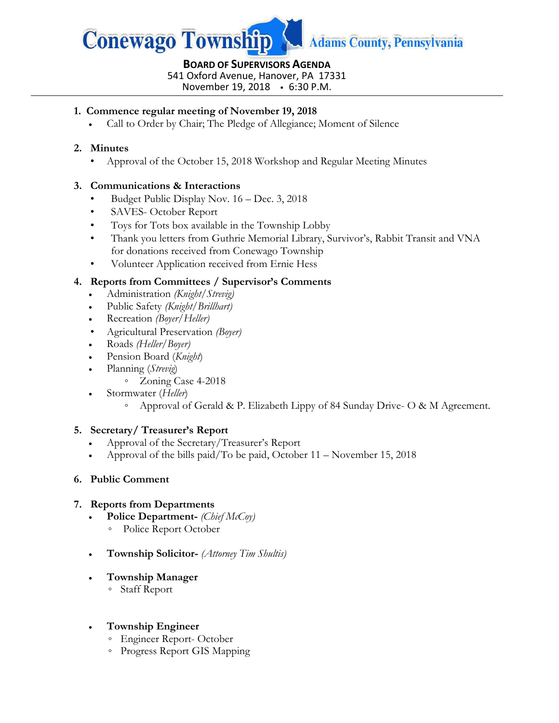

# **BOARD OF SUPERVISORS AGENDA** 541 Oxford Avenue, Hanover, PA 17331

November 19, 2018 6:30 P.M.

#### **1. Commence regular meeting of November 19, 2018**

Call to Order by Chair; The Pledge of Allegiance; Moment of Silence

#### **2. Minutes**

• Approval of the October 15, 2018 Workshop and Regular Meeting Minutes

#### **3. Communications & Interactions**

- Budget Public Display Nov. 16 Dec. 3, 2018
- SAVES- October Report
- Toys for Tots box available in the Township Lobby
- Thank you letters from Guthrie Memorial Library, Survivor's, Rabbit Transit and VNA for donations received from Conewago Township
- Volunteer Application received from Ernie Hess

### **4. Reports from Committees / Supervisor's Comments**

- Administration *(Knight/Strevig)*
- Public Safety *(Knight/Brillhart)*
- Recreation *(Boyer/Heller)*
- Agricultural Preservation *(Boyer)*
- Roads *(Heller/Boyer)*
- Pension Board (*Knight*)
- Planning (*Strevig*)
	- Zoning Case 4-2018
- Stormwater (*Heller*)
	- Approval of Gerald & P. Elizabeth Lippy of 84 Sunday Drive- O & M Agreement.

#### **5. Secretary/ Treasurer's Report**

- Approval of the Secretary/Treasurer's Report
- Approval of the bills paid/To be paid, October 11 November 15, 2018

#### **6. Public Comment**

#### **7. Reports from Departments**

- **Police Department-** *(Chief McCoy)*
	- Police Report October
- **Township Solicitor-** *(Attorney Tim Shultis)*

### **Township Manager**

◦ Staff Report

### **Township Engineer**

- Engineer Report- October
- Progress Report GIS Mapping